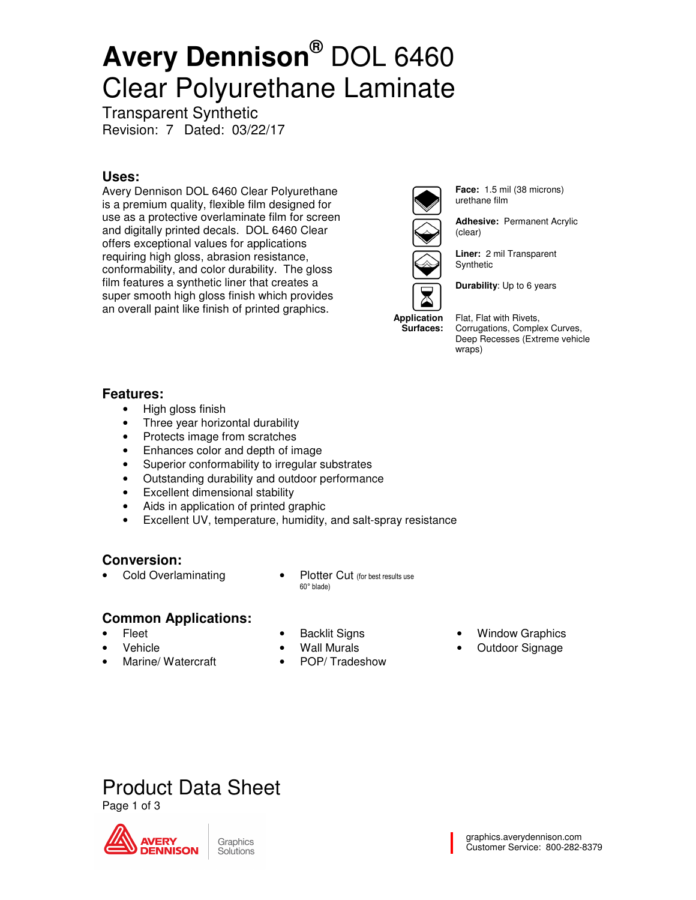# **Avery Dennison®** DOL 6460 Clear Polyurethane Laminate

Transparent Synthetic Revision: 7 Dated: 03/22/17

#### **Uses:**

Avery Dennison DOL 6460 Clear Polyurethane is a premium quality, flexible film designed for use as a protective overlaminate film for screen and digitally printed decals. DOL 6460 Clear offers exceptional values for applications requiring high gloss, abrasion resistance, conformability, and color durability. The gloss film features a synthetic liner that creates a super smooth high gloss finish which provides an overall paint like finish of printed graphics.



**Surfaces:** 

**Face:** 1.5 mil (38 microns) urethane film

**Adhesive:** Permanent Acrylic (clear)

**Liner:** 2 mil Transparent Synthetic

**Durability**: Up to 6 years

Flat, Flat with Rivets, Corrugations, Complex Curves, Deep Recesses (Extreme vehicle wraps)

#### **Features:**

- High gloss finish
- Three year horizontal durability
- Protects image from scratches
- Enhances color and depth of image
- Superior conformability to irregular substrates
- Outstanding durability and outdoor performance
- Excellent dimensional stability
- Aids in application of printed graphic
- Excellent UV, temperature, humidity, and salt-spray resistance

#### **Conversion:**

- 
- Cold Overlaminating Plotter Cut (for best results use 60° blade)

### **Common Applications:**

- Fleet
- Vehicle
- Marine/ Watercraft
- **Backlit Signs**
- Wall Murals
- POP/ Tradeshow
- **Window Graphics**
- Outdoor Signage

### Product Data Sheet

Page 1 of 3



Graphics Solutions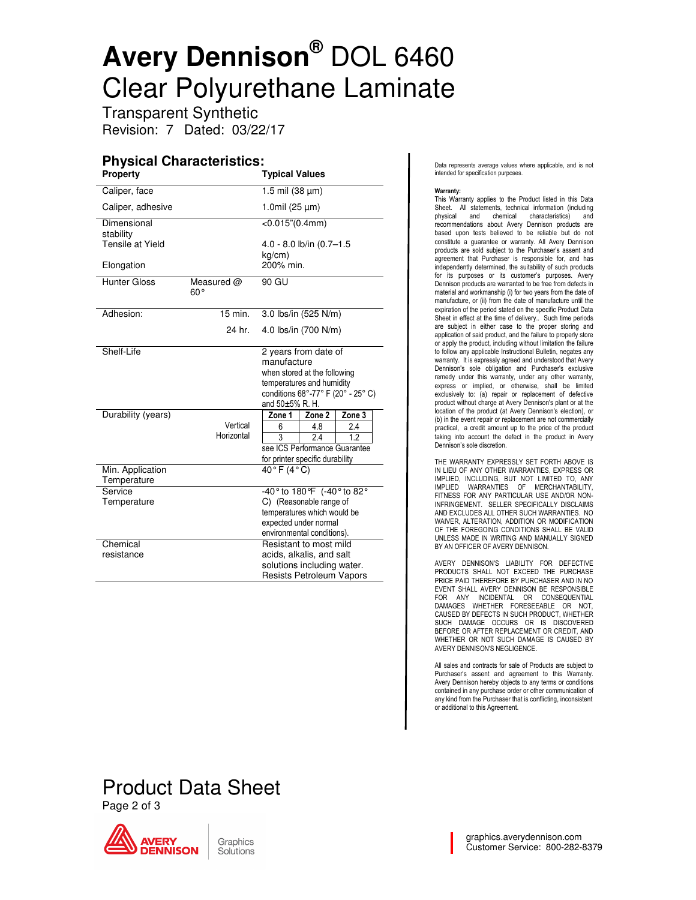## **Avery Dennison®** DOL 6460 Clear Polyurethane Laminate

Transparent Synthetic Revision: 7 Dated: 03/22/17

#### **Physical Characteristics:**

| <b>Property</b>                 |                              | <b>Typical Values</b>                                                                                                                                     |                     |        |  |
|---------------------------------|------------------------------|-----------------------------------------------------------------------------------------------------------------------------------------------------------|---------------------|--------|--|
| Caliper, face                   |                              |                                                                                                                                                           | 1.5 mil (38 µm)     |        |  |
| Caliper, adhesive               |                              |                                                                                                                                                           | 1.0mil $(25 \mu m)$ |        |  |
| Dimensional<br>stability        |                              | $<$ 0.015" $(0.4$ mm $)$                                                                                                                                  |                     |        |  |
| Tensile at Yield                |                              | 4.0 - 8.0 lb/in (0.7-1.5                                                                                                                                  |                     |        |  |
| Elongation                      |                              | kg/cm)<br>200% min.                                                                                                                                       |                     |        |  |
| <b>Hunter Gloss</b>             | Measured $@$<br>$60^{\circ}$ | 90 GU                                                                                                                                                     |                     |        |  |
| Adhesion:                       | 15 min.                      | 3.0 lbs/in (525 N/m)                                                                                                                                      |                     |        |  |
|                                 | 24 hr.                       | 4.0 lbs/in (700 N/m)                                                                                                                                      |                     |        |  |
| Shelf-Life                      |                              | 2 years from date of<br>manufacture<br>when stored at the following<br>temperatures and humidity<br>conditions 68°-77° F (20° - 25° C)<br>and 50±5% R. H. |                     |        |  |
| Durability (years)              |                              | Zone 1                                                                                                                                                    | Zone 2              | Zone 3 |  |
|                                 | Vertical                     | 6                                                                                                                                                         | 4.8                 | 2.4    |  |
|                                 | Horizontal                   | $\overline{\mathbf{3}}$                                                                                                                                   | 2.4                 | 12     |  |
|                                 |                              | see ICS Performance Guarantee                                                                                                                             |                     |        |  |
|                                 |                              | for printer specific durability                                                                                                                           |                     |        |  |
| Min. Application<br>Temperature |                              | $40°$ F $(4°$ C)                                                                                                                                          |                     |        |  |
| Service                         |                              | -40° to 180° F (-40° to 82°                                                                                                                               |                     |        |  |
| Temperature                     |                              | C) (Reasonable range of                                                                                                                                   |                     |        |  |
|                                 |                              | temperatures which would be                                                                                                                               |                     |        |  |
|                                 |                              | expected under normal                                                                                                                                     |                     |        |  |
|                                 |                              | environmental conditions).                                                                                                                                |                     |        |  |
| Chemical<br>resistance          |                              | Resistant to most mild                                                                                                                                    |                     |        |  |
|                                 |                              | acids, alkalis, and salt<br>solutions including water.                                                                                                    |                     |        |  |
|                                 |                              | <b>Resists Petroleum Vapors</b>                                                                                                                           |                     |        |  |
|                                 |                              |                                                                                                                                                           |                     |        |  |

Data represents average values where applicable, and is not intended for specification purposes.

#### Warranty:

This Warranty applies to the Product listed in this Data Sheet. All statements, technical information (including<br>physical and chemical characteristics) and and chemical characteristics) and recommendations about Avery Dennison products are based upon tests believed to be reliable but do not constitute a guarantee or warranty. All Avery Dennison products are sold subject to the Purchaser's assent and agreement that Purchaser is responsible for, and has independently determined, the suitability of such products for its purposes or its customer's purposes. Avery Dennison products are warranted to be free from defects in material and workmanship (i) for two years from the date of manufacture, or (ii) from the date of manufacture until the expiration of the period stated on the specific Product Data Sheet in effect at the time of delivery.. Such time periods are subject in either case to the proper storing and application of said product, and the failure to properly store or apply the product, including without limitation the failure to follow any applicable Instructional Bulletin, negates any warranty. It is expressly agreed and understood that Avery Dennison's sole obligation and Purchaser's exclusive remedy under this warranty, under any other warranty, express or implied, or otherwise, shall be limited exclusively to: (a) repair or replacement of defective product without charge at Avery Dennison's plant or at the location of the product (at Avery Dennison's election), or (b) in the event repair or replacement are not commercially practical, a credit amount up to the price of the product taking into account the defect in the product in Avery Dennison's sole discretion.

THE WARRANTY EXPRESSLY SET FORTH ABOVE IS IN LIEU OF ANY OTHER WARRANTIES, EXPRESS OR IMPLIED, INCLUDING, BUT NOT LIMITED TO, ANY IMPLIED WARRANTIES OF MERCHANTABILITY, FITNESS FOR ANY PARTICULAR USE AND/OR NON-INFRINGEMENT. SELLER SPECIFICALLY DISCLAIMS AND EXCLUDES ALL OTHER SUCH WARRANTIES. NO WAIVER, ALTERATION, ADDITION OR MODIFICATION OF THE FOREGOING CONDITIONS SHALL BE VALID UNLESS MADE IN WRITING AND MANUALLY SIGNED BY AN OFFICER OF AVERY DENNISON.

AVERY DENNISON'S LIABILITY FOR DEFECTIVE PRODUCTS SHALL NOT EXCEED THE PURCHASE PRICE PAID THEREFORE BY PURCHASER AND IN NO EVENT SHALL AVERY DENNISON BE RESPONSIBLE FOR ANY INCIDENTAL OR CONSEQUENTIAL DAMAGES WHETHER FORESEEABLE OR NOT, CAUSED BY DEFECTS IN SUCH PRODUCT, WHETHER SUCH DAMAGE OCCURS OR IS DISCOVERED BEFORE OR AFTER REPLACEMENT OR CREDIT, AND WHETHER OR NOT SUCH DAMAGE IS CAUSED BY AVERY DENNISON'S NEGLIGENCE.

All sales and contracts for sale of Products are subject to Purchaser's assent and agreement to this Warranty. Avery Dennison hereby objects to any terms or conditions contained in any purchase order or other communication of any kind from the Purchaser that is conflicting, inconsistent or additional to this Agreement.

### Product Data Sheet Page 2 of 3